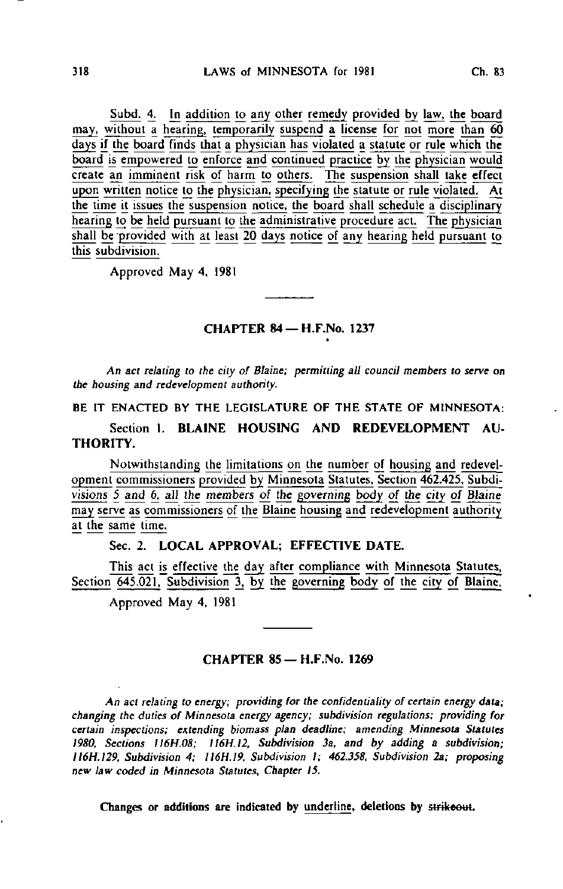Subd. 4. In addition to any other remedy provided by law, the board may, without a hearing, temporarily suspend a license for not more than 60 days if the board finds that a physician has violated a statute or rule which the board is empowered to enforce and continued practice by the physician would create an imminent risk of harm to others. The suspension shall take effect upon written notice to the physician, specifying the statute or rule violated. At the time it issues the suspension notice, the board shall schedule a disciplinary hearing to be held pursuant to the administrative procedure act. The physician shall be provided with at least 20 days notice of any hearing held pursuant to this subdivision.

Approved May 4, 1981

#### CHAPTER 84 —H.F.No. 1237

An act relating to the city of Blaine; permitting all council members to serve on the housing and redevelopment authority.

BE IT ENACTED BY THE LEGISLATURE OF THE STATE OF MINNESOTA:

Section 1. BLAINE HOUSING AND REDEVELOPMENT AU-THORITY.

Notwithstanding the limitations on the number of housing and redevelopment commissioners provided by\_ Minngsota Statutes. Section 462.425. Subdivisions  $5$  and  $6$ , all the members of the governing body of the city of Blaine may serve as commissioners of the Blaine housing and redevelopment authority at the same time.

# Sec. 2. LOCAL APPROVAL; EFFECTIVE DATE.

This act is effective the day after compliance with Minnesota Statutes, Section  $\overline{645.021}$ , Subdivision 3, by the governing body of the city of Blaine.

Approved May 4, 1981

### CHAPTER 85—H.F.No. 1269

An act relating to energy; providing for the confidentiality of certain energy data; changing the duties of Minnesota energy agency; subdivision regulations; providing for certain inspections; extending biomass plan deadline; amending Minnesota Statutes 1980, Sections II6H.08; II6H.12, Subdivision 3a, and by adding a subdivision; II6H.129, Subdivision 4; 1I6H.I9, Subdivision I; 462.358. Subdivision 2a; proposing new law coded in Minnesota Statutes, Chapter 15.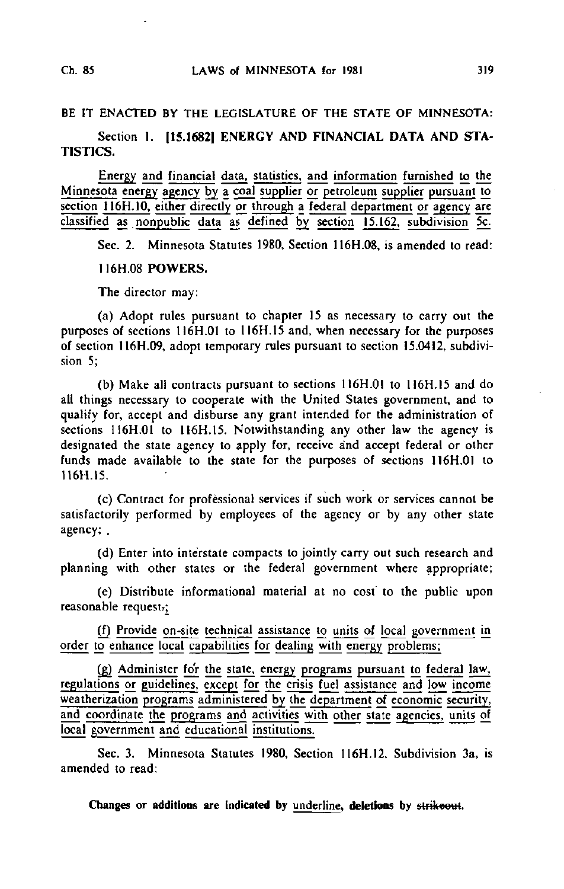## BE IT ENACTED BY THE LEGISLATURE OF THE STATE OF MINNESOTA:

# Section 1. [15.1682] ENERGY AND FINANCIAL DATA AND STA-TISTICS.

Energy and financial data, statistics, and information furnished to the Minnesota energy agency by a coal supplier or petroleum supplier pursuant to section 116H.10, either directly or through a federal department or agency are classified as nonpublic data as defined by section 15.162, subdivision 5c.

Sec. 2. Minnesota Statutes 1980, Section 116H.08. is amended to read:

## I16H.08 POWERS.

The director may:

(a) Adopt rules pursuant to chapter 15 as necessary to carry out the purposes of sections 116H.01 to 116H.15 and, when necessary for the purposes of section 116H.09, adopt temporary rules pursuant to section 15.0412. subdivision 5;

(b) Make all contracts pursuant to sections 1I6H.OI to 116H.I5 and do all things necessary to cooperate with the United States government, and to qualify for, accept and disburse any grant intended for the administration of sections 116H.01 to 116H.15. Notwithstanding any other law the agency is designated the state agency to apply for, receive and accept federal or other funds made available to the state for the purposes of sections 1I6H.OI to U6H.15.

(c) Contract for professional services if such work or services cannot be satisfactorily performed by employees of the agency or by any other state agency; .

(d) Enter into interstate compacts to jointly carry out such research and planning with other states or the federal government where appropriate;

(e) Distribute informational material at no cost to the public upon reasonable request;

(f) Provide on-sjte technical assistance to units of local government in order to enhance local capabilities for dealing with energy problems;

(g) Administer for the state, energy programs pursuant to federal law, regulations or guidelines, except for the crisis fuel assistance and low income weatherization programs administered by the department of economic security, and coordinate the programs and activities with other state agencies, units of local government and educational institutions.

Sec. 3. Minnesota Statutes 1980, Section 116H.12. Subdivision 3a. is amended to read: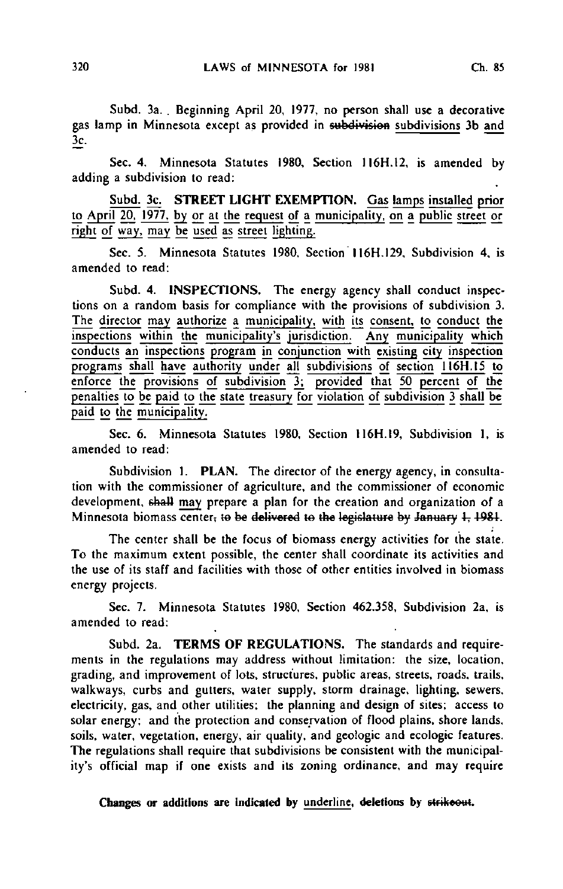Subd. 3a. . Beginning April 20, 1977, no person shall use a decorative gas lamp in Minnesota except as provided in subdivision subdivisions 3b and 3c.

Sec. 4. Minnesota Statutes 1980, Section 1I6H.12, is amended by adding a subdivision to read:

Subd. 3c. STREET LIGHT EXEMPTION. Gas lamps installed prior to April 20, 1977, by or at the request of a municipality, on a public street or right of way, may be used as street lighting.

Sec. 5. Minnesota Statutes 1980, Section 116H.129, Subdivision 4, is amended to read:

Subd. 4. INSPECTIONS. The energy agency shall conduct inspections on a random basis for compliance with the provisions of subdivision 3. The director may authorize a municipality, with its consent, to conduct the inspections within the municipality's jurisdiction. Any municipality which conducts an inspections program in conjunction with existing city inspection programs shall have authority under all subdivisions of section 116H.15 to enforce the provisions of subdivision 3; provided that 50 percent of the penalties to be paid to the state treasury for violation of subdivision 3 shall be paid to the municipality.

Sec. 6. Minnesota Statutes 1980, Section I16H.I9, Subdivision 1, is amended to read:

Subdivision 1. PLAN. The director of the energy agency, in consultation with the commissioner of agriculture, and the commissioner of economic development, shall may prepare a plan for the creation and organization of a Minnesota biomass center; to be delivered to the legislature by January 1, 1981.

The center shall be the focus of biomass energy activities for the state. To the maximum extent possible, the center shall coordinate its activities and the use of its staff and facilities with those of other entities involved in biomass energy projects.

Sec. 7. Minnesota Statutes 1980, Section 462.358, Subdivision 2a, is amended to read:

Subd. 2a. TERMS OF REGULATIONS. The standards and requirements in the regulations may address without limitation: the size, location, grading, and improvement of lots, structures, public areas, streets, roads, trails, walkways, curbs and gutters, water supply, storm drainage, lighting, sewers, electricity, gas, and other utilities; the planning and design of sites; access to solar energy: and the protection and conservation of flood plains, shore lands, soils, water, vegetation, energy, air quality, and geologic and ecologic features. The regulations shall require that subdivisions be consistent with the municipality's official map if one exists and its zoning ordinance, and may require